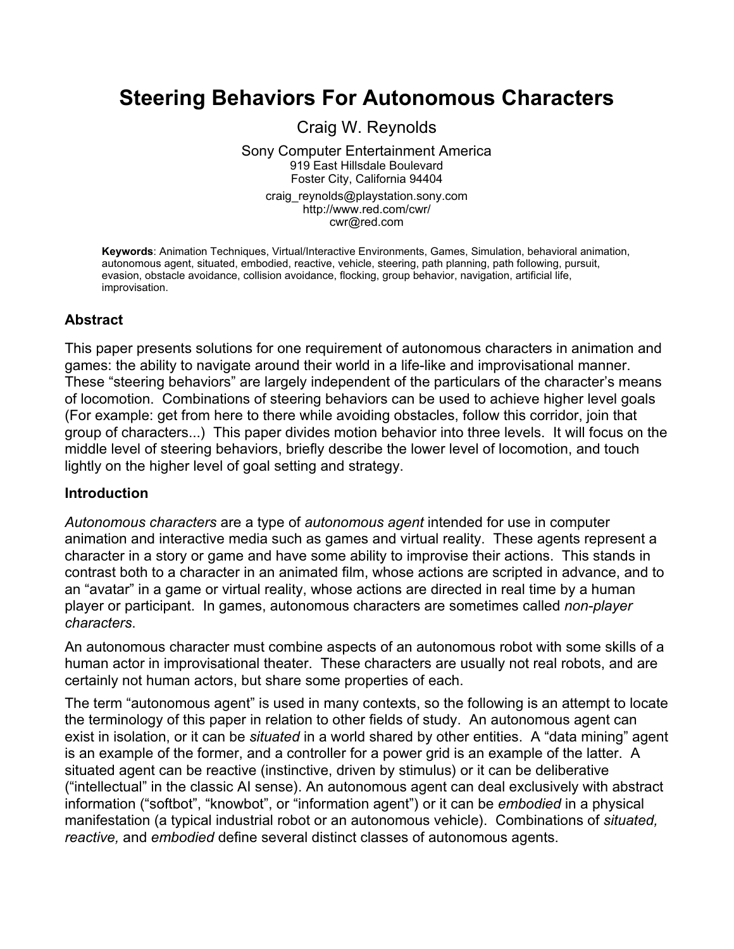# **Steering Behaviors For Autonomous Characters**

Craig W. Reynolds

Sony Computer Entertainment America 919 East Hillsdale Boulevard Foster City, California 94404 craig\_reynolds@playstation.sony.com http://www.red.com/cwr/ cwr@red.com

**Keywords**: Animation Techniques, Virtual/Interactive Environments, Games, Simulation, behavioral animation, autonomous agent, situated, embodied, reactive, vehicle, steering, path planning, path following, pursuit, evasion, obstacle avoidance, collision avoidance, flocking, group behavior, navigation, artificial life, improvisation.

### **Abstract**

This paper presents solutions for one requirement of autonomous characters in animation and games: the ability to navigate around their world in a life-like and improvisational manner. These "steering behaviors" are largely independent of the particulars of the character's means of locomotion. Combinations of steering behaviors can be used to achieve higher level goals (For example: get from here to there while avoiding obstacles, follow this corridor, join that group of characters...) This paper divides motion behavior into three levels. It will focus on the middle level of steering behaviors, briefly describe the lower level of locomotion, and touch lightly on the higher level of goal setting and strategy.

#### **Introduction**

*Autonomous characters* are a type of *autonomous agent* intended for use in computer animation and interactive media such as games and virtual reality. These agents represent a character in a story or game and have some ability to improvise their actions. This stands in contrast both to a character in an animated film, whose actions are scripted in advance, and to an "avatar" in a game or virtual reality, whose actions are directed in real time by a human player or participant. In games, autonomous characters are sometimes called *non-player characters*.

An autonomous character must combine aspects of an autonomous robot with some skills of a human actor in improvisational theater. These characters are usually not real robots, and are certainly not human actors, but share some properties of each.

The term "autonomous agent" is used in many contexts, so the following is an attempt to locate the terminology of this paper in relation to other fields of study. An autonomous agent can exist in isolation, or it can be *situated* in a world shared by other entities. A "data mining" agent is an example of the former, and a controller for a power grid is an example of the latter. A situated agent can be reactive (instinctive, driven by stimulus) or it can be deliberative ("intellectual" in the classic AI sense). An autonomous agent can deal exclusively with abstract information ("softbot", "knowbot", or "information agent") or it can be *embodied* in a physical manifestation (a typical industrial robot or an autonomous vehicle). Combinations of *situated, reactive,* and *embodied* define several distinct classes of autonomous agents.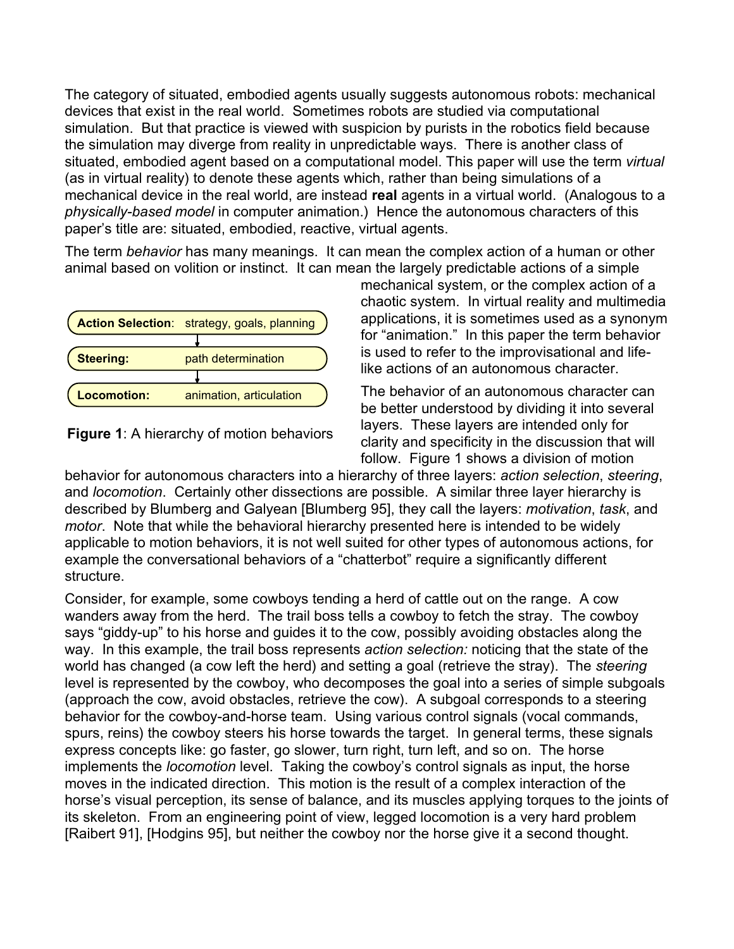The category of situated, embodied agents usually suggests autonomous robots: mechanical devices that exist in the real world. Sometimes robots are studied via computational simulation. But that practice is viewed with suspicion by purists in the robotics field because the simulation may diverge from reality in unpredictable ways. There is another class of situated, embodied agent based on a computational model. This paper will use the term *virtual* (as in virtual reality) to denote these agents which, rather than being simulations of a mechanical device in the real world, are instead **real** agents in a virtual world. (Analogous to a *physically-based model* in computer animation.) Hence the autonomous characters of this paper's title are: situated, embodied, reactive, virtual agents.

The term *behavior* has many meanings. It can mean the complex action of a human or other animal based on volition or instinct. It can mean the largely predictable actions of a simple





mechanical system, or the complex action of a chaotic system. In virtual reality and multimedia applications, it is sometimes used as a synonym for "animation." In this paper the term behavior is used to refer to the improvisational and lifelike actions of an autonomous character.

The behavior of an autonomous character can be better understood by dividing it into several layers. These layers are intended only for clarity and specificity in the discussion that will follow. Figure 1 shows a division of motion

behavior for autonomous characters into a hierarchy of three layers: *action selection*, *steering*, and *locomotion*. Certainly other dissections are possible. A similar three layer hierarchy is described by Blumberg and Galyean [Blumberg 95], they call the layers: *motivation*, *task*, and *motor*. Note that while the behavioral hierarchy presented here is intended to be widely applicable to motion behaviors, it is not well suited for other types of autonomous actions, for example the conversational behaviors of a "chatterbot" require a significantly different structure.

Consider, for example, some cowboys tending a herd of cattle out on the range. A cow wanders away from the herd. The trail boss tells a cowboy to fetch the stray. The cowboy says "giddy-up" to his horse and guides it to the cow, possibly avoiding obstacles along the way. In this example, the trail boss represents *action selection:* noticing that the state of the world has changed (a cow left the herd) and setting a goal (retrieve the stray). The *steering* level is represented by the cowboy, who decomposes the goal into a series of simple subgoals (approach the cow, avoid obstacles, retrieve the cow). A subgoal corresponds to a steering behavior for the cowboy-and-horse team. Using various control signals (vocal commands, spurs, reins) the cowboy steers his horse towards the target. In general terms, these signals express concepts like: go faster, go slower, turn right, turn left, and so on. The horse implements the *locomotion* level. Taking the cowboy's control signals as input, the horse moves in the indicated direction. This motion is the result of a complex interaction of the horse's visual perception, its sense of balance, and its muscles applying torques to the joints of its skeleton. From an engineering point of view, legged locomotion is a very hard problem [Raibert 91], [Hodgins 95], but neither the cowboy nor the horse give it a second thought.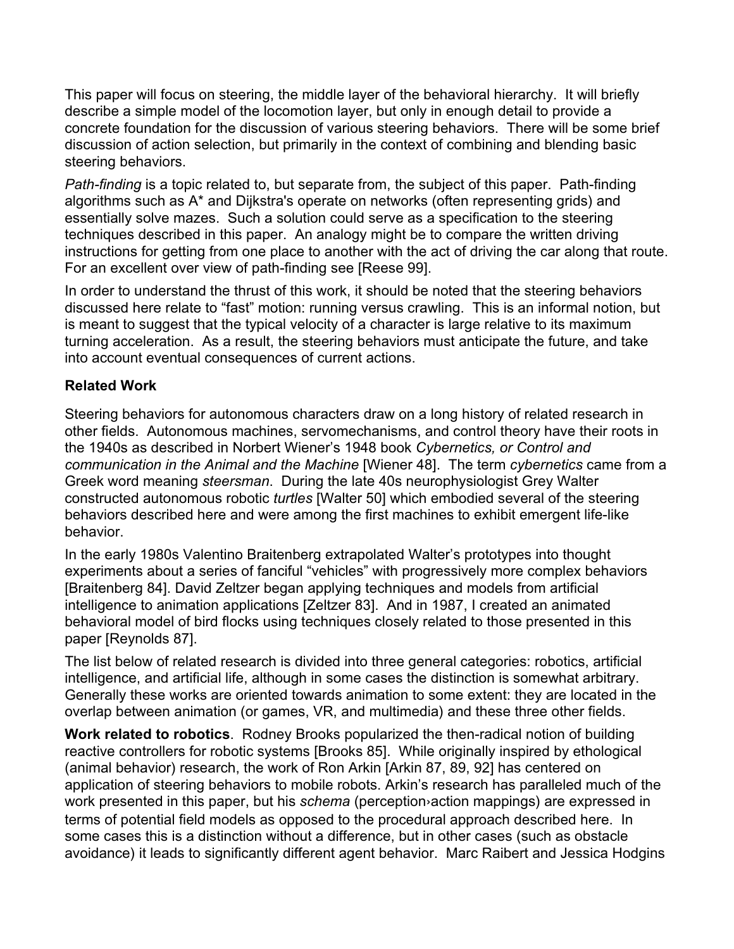This paper will focus on steering, the middle layer of the behavioral hierarchy. It will briefly describe a simple model of the locomotion layer, but only in enough detail to provide a concrete foundation for the discussion of various steering behaviors. There will be some brief discussion of action selection, but primarily in the context of combining and blending basic steering behaviors.

*Path-finding* is a topic related to, but separate from, the subject of this paper. Path-finding algorithms such as A\* and Dijkstra's operate on networks (often representing grids) and essentially solve mazes. Such a solution could serve as a specification to the steering techniques described in this paper. An analogy might be to compare the written driving instructions for getting from one place to another with the act of driving the car along that route. For an excellent over view of path-finding see [Reese 99].

In order to understand the thrust of this work, it should be noted that the steering behaviors discussed here relate to "fast" motion: running versus crawling. This is an informal notion, but is meant to suggest that the typical velocity of a character is large relative to its maximum turning acceleration. As a result, the steering behaviors must anticipate the future, and take into account eventual consequences of current actions.

## **Related Work**

Steering behaviors for autonomous characters draw on a long history of related research in other fields. Autonomous machines, servomechanisms, and control theory have their roots in the 1940s as described in Norbert Wiener's 1948 book *Cybernetics, or Control and communication in the Animal and the Machine* [Wiener 48]. The term *cybernetics* came from a Greek word meaning *steersman*. During the late 40s neurophysiologist Grey Walter constructed autonomous robotic *turtles* [Walter 50] which embodied several of the steering behaviors described here and were among the first machines to exhibit emergent life-like behavior.

In the early 1980s Valentino Braitenberg extrapolated Walter's prototypes into thought experiments about a series of fanciful "vehicles" with progressively more complex behaviors [Braitenberg 84]. David Zeltzer began applying techniques and models from artificial intelligence to animation applications [Zeltzer 83]. And in 1987, I created an animated behavioral model of bird flocks using techniques closely related to those presented in this paper [Reynolds 87].

The list below of related research is divided into three general categories: robotics, artificial intelligence, and artificial life, although in some cases the distinction is somewhat arbitrary. Generally these works are oriented towards animation to some extent: they are located in the overlap between animation (or games, VR, and multimedia) and these three other fields.

**Work related to robotics**. Rodney Brooks popularized the then-radical notion of building reactive controllers for robotic systems [Brooks 85]. While originally inspired by ethological (animal behavior) research, the work of Ron Arkin [Arkin 87, 89, 92] has centered on application of steering behaviors to mobile robots. Arkin's research has paralleled much of the work presented in this paper, but his *schema* (perception›action mappings) are expressed in terms of potential field models as opposed to the procedural approach described here. In some cases this is a distinction without a difference, but in other cases (such as obstacle avoidance) it leads to significantly different agent behavior. Marc Raibert and Jessica Hodgins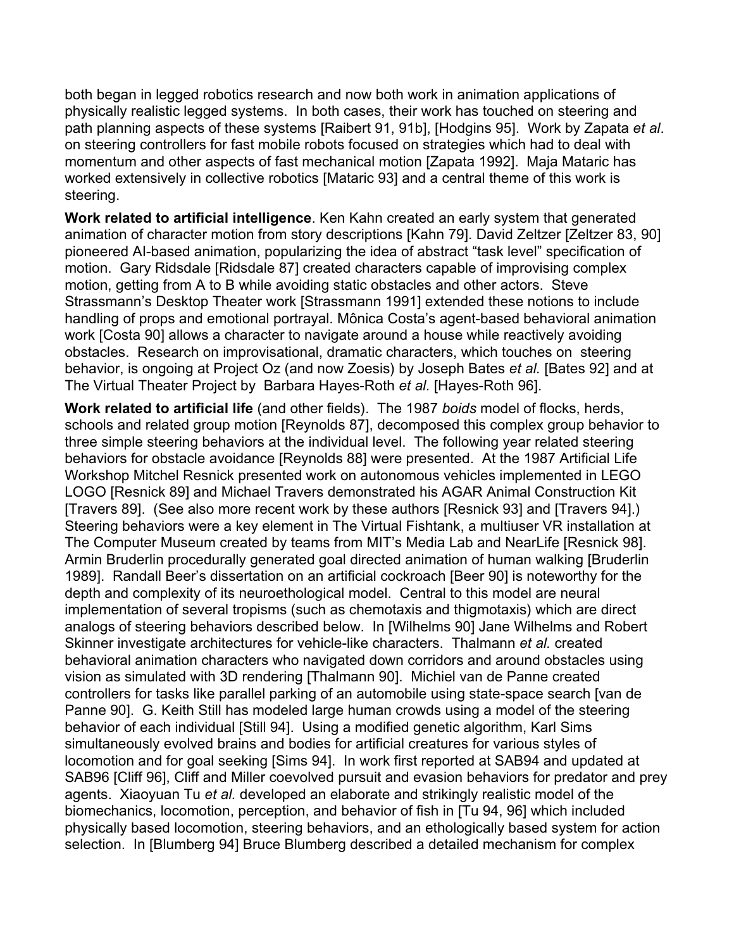both began in legged robotics research and now both work in animation applications of physically realistic legged systems. In both cases, their work has touched on steering and path planning aspects of these systems [Raibert 91, 91b], [Hodgins 95]. Work by Zapata *et al*. on steering controllers for fast mobile robots focused on strategies which had to deal with momentum and other aspects of fast mechanical motion [Zapata 1992]. Maja Mataric has worked extensively in collective robotics [Mataric 93] and a central theme of this work is steering.

**Work related to artificial intelligence**. Ken Kahn created an early system that generated animation of character motion from story descriptions [Kahn 79]. David Zeltzer [Zeltzer 83, 90] pioneered AI-based animation, popularizing the idea of abstract "task level" specification of motion. Gary Ridsdale [Ridsdale 87] created characters capable of improvising complex motion, getting from A to B while avoiding static obstacles and other actors. Steve Strassmann's Desktop Theater work [Strassmann 1991] extended these notions to include handling of props and emotional portrayal. Mônica Costa's agent-based behavioral animation work [Costa 90] allows a character to navigate around a house while reactively avoiding obstacles. Research on improvisational, dramatic characters, which touches on steering behavior, is ongoing at Project Oz (and now Zoesis) by Joseph Bates *et al.* [Bates 92] and at The Virtual Theater Project by Barbara Hayes-Roth *et al.* [Hayes-Roth 96].

**Work related to artificial life** (and other fields). The 1987 *boids* model of flocks, herds, schools and related group motion [Reynolds 87], decomposed this complex group behavior to three simple steering behaviors at the individual level. The following year related steering behaviors for obstacle avoidance [Reynolds 88] were presented. At the 1987 Artificial Life Workshop Mitchel Resnick presented work on autonomous vehicles implemented in LEGO LOGO [Resnick 89] and Michael Travers demonstrated his AGAR Animal Construction Kit [Travers 89]. (See also more recent work by these authors [Resnick 93] and [Travers 94].) Steering behaviors were a key element in The Virtual Fishtank, a multiuser VR installation at The Computer Museum created by teams from MIT's Media Lab and NearLife [Resnick 98]. Armin Bruderlin procedurally generated goal directed animation of human walking [Bruderlin 1989]. Randall Beer's dissertation on an artificial cockroach [Beer 90] is noteworthy for the depth and complexity of its neuroethological model. Central to this model are neural implementation of several tropisms (such as chemotaxis and thigmotaxis) which are direct analogs of steering behaviors described below. In [Wilhelms 90] Jane Wilhelms and Robert Skinner investigate architectures for vehicle-like characters. Thalmann *et al.* created behavioral animation characters who navigated down corridors and around obstacles using vision as simulated with 3D rendering [Thalmann 90]. Michiel van de Panne created controllers for tasks like parallel parking of an automobile using state-space search [van de Panne 90]. G. Keith Still has modeled large human crowds using a model of the steering behavior of each individual [Still 94]. Using a modified genetic algorithm, Karl Sims simultaneously evolved brains and bodies for artificial creatures for various styles of locomotion and for goal seeking [Sims 94]. In work first reported at SAB94 and updated at SAB96 [Cliff 96], Cliff and Miller coevolved pursuit and evasion behaviors for predator and prey agents. Xiaoyuan Tu *et al.* developed an elaborate and strikingly realistic model of the biomechanics, locomotion, perception, and behavior of fish in [Tu 94, 96] which included physically based locomotion, steering behaviors, and an ethologically based system for action selection. In [Blumberg 94] Bruce Blumberg described a detailed mechanism for complex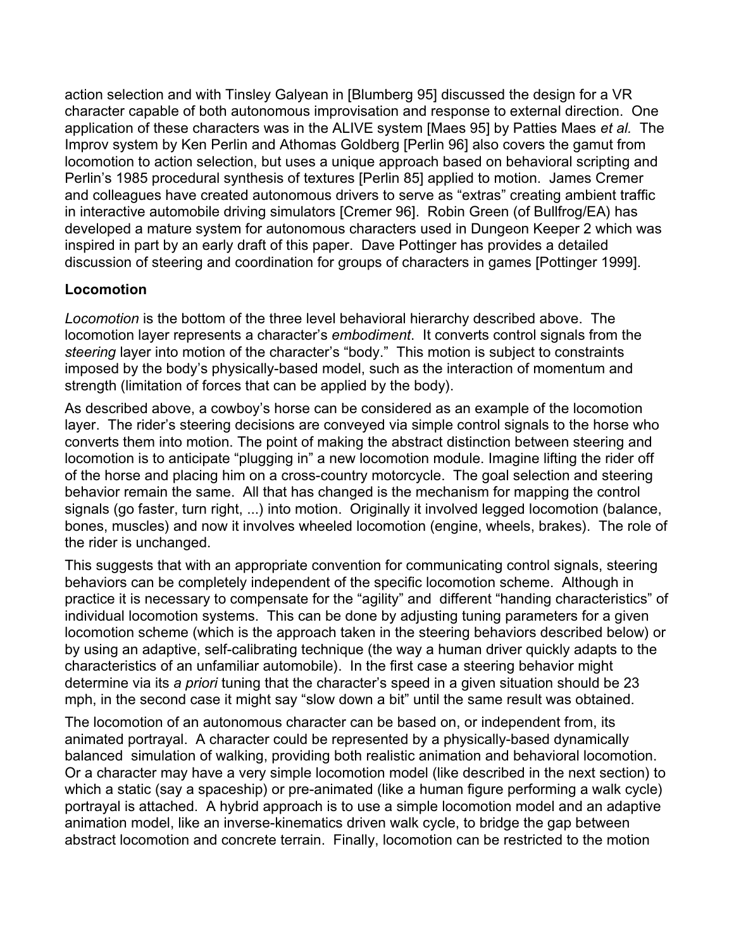action selection and with Tinsley Galyean in [Blumberg 95] discussed the design for a VR character capable of both autonomous improvisation and response to external direction. One application of these characters was in the ALIVE system [Maes 95] by Patties Maes *et al.* The Improv system by Ken Perlin and Athomas Goldberg [Perlin 96] also covers the gamut from locomotion to action selection, but uses a unique approach based on behavioral scripting and Perlin's 1985 procedural synthesis of textures [Perlin 85] applied to motion. James Cremer and colleagues have created autonomous drivers to serve as "extras" creating ambient traffic in interactive automobile driving simulators [Cremer 96]. Robin Green (of Bullfrog/EA) has developed a mature system for autonomous characters used in Dungeon Keeper 2 which was inspired in part by an early draft of this paper. Dave Pottinger has provides a detailed discussion of steering and coordination for groups of characters in games [Pottinger 1999].

## **Locomotion**

*Locomotion* is the bottom of the three level behavioral hierarchy described above. The locomotion layer represents a character's *embodiment*. It converts control signals from the *steering* layer into motion of the character's "body." This motion is subject to constraints imposed by the body's physically-based model, such as the interaction of momentum and strength (limitation of forces that can be applied by the body).

As described above, a cowboy's horse can be considered as an example of the locomotion layer. The rider's steering decisions are conveyed via simple control signals to the horse who converts them into motion. The point of making the abstract distinction between steering and locomotion is to anticipate "plugging in" a new locomotion module. Imagine lifting the rider off of the horse and placing him on a cross-country motorcycle. The goal selection and steering behavior remain the same. All that has changed is the mechanism for mapping the control signals (go faster, turn right, ...) into motion. Originally it involved legged locomotion (balance, bones, muscles) and now it involves wheeled locomotion (engine, wheels, brakes). The role of the rider is unchanged.

This suggests that with an appropriate convention for communicating control signals, steering behaviors can be completely independent of the specific locomotion scheme. Although in practice it is necessary to compensate for the "agility" and different "handing characteristics" of individual locomotion systems. This can be done by adjusting tuning parameters for a given locomotion scheme (which is the approach taken in the steering behaviors described below) or by using an adaptive, self-calibrating technique (the way a human driver quickly adapts to the characteristics of an unfamiliar automobile). In the first case a steering behavior might determine via its *a priori* tuning that the character's speed in a given situation should be 23 mph, in the second case it might say "slow down a bit" until the same result was obtained.

The locomotion of an autonomous character can be based on, or independent from, its animated portrayal. A character could be represented by a physically-based dynamically balanced simulation of walking, providing both realistic animation and behavioral locomotion. Or a character may have a very simple locomotion model (like described in the next section) to which a static (say a spaceship) or pre-animated (like a human figure performing a walk cycle) portrayal is attached. A hybrid approach is to use a simple locomotion model and an adaptive animation model, like an inverse-kinematics driven walk cycle, to bridge the gap between abstract locomotion and concrete terrain. Finally, locomotion can be restricted to the motion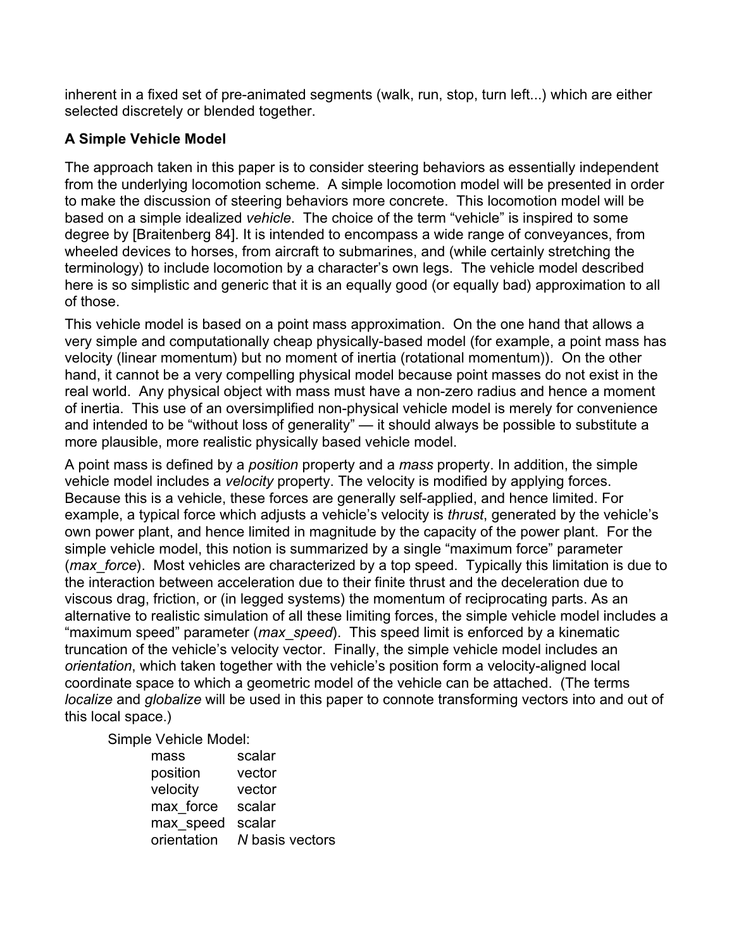inherent in a fixed set of pre-animated segments (walk, run, stop, turn left...) which are either selected discretely or blended together.

## **A Simple Vehicle Model**

The approach taken in this paper is to consider steering behaviors as essentially independent from the underlying locomotion scheme. A simple locomotion model will be presented in order to make the discussion of steering behaviors more concrete. This locomotion model will be based on a simple idealized *vehicle*. The choice of the term "vehicle" is inspired to some degree by [Braitenberg 84]. It is intended to encompass a wide range of conveyances, from wheeled devices to horses, from aircraft to submarines, and (while certainly stretching the terminology) to include locomotion by a character's own legs. The vehicle model described here is so simplistic and generic that it is an equally good (or equally bad) approximation to all of those.

This vehicle model is based on a point mass approximation. On the one hand that allows a very simple and computationally cheap physically-based model (for example, a point mass has velocity (linear momentum) but no moment of inertia (rotational momentum)). On the other hand, it cannot be a very compelling physical model because point masses do not exist in the real world. Any physical object with mass must have a non-zero radius and hence a moment of inertia. This use of an oversimplified non-physical vehicle model is merely for convenience and intended to be "without loss of generality" — it should always be possible to substitute a more plausible, more realistic physically based vehicle model.

A point mass is defined by a *position* property and a *mass* property. In addition, the simple vehicle model includes a *velocity* property. The velocity is modified by applying forces. Because this is a vehicle, these forces are generally self-applied, and hence limited. For example, a typical force which adjusts a vehicle's velocity is *thrust*, generated by the vehicle's own power plant, and hence limited in magnitude by the capacity of the power plant. For the simple vehicle model, this notion is summarized by a single "maximum force" parameter (*max\_force*). Most vehicles are characterized by a top speed. Typically this limitation is due to the interaction between acceleration due to their finite thrust and the deceleration due to viscous drag, friction, or (in legged systems) the momentum of reciprocating parts. As an alternative to realistic simulation of all these limiting forces, the simple vehicle model includes a "maximum speed" parameter (*max\_speed*). This speed limit is enforced by a kinematic truncation of the vehicle's velocity vector. Finally, the simple vehicle model includes an *orientation*, which taken together with the vehicle's position form a velocity-aligned local coordinate space to which a geometric model of the vehicle can be attached. (The terms *localize* and *globalize* will be used in this paper to connote transforming vectors into and out of this local space.)

Simple Vehicle Model:

| mass        | scalar          |
|-------------|-----------------|
| position    | vector          |
| velocity    | vector          |
| max force   | scalar          |
| max speed   | scalar          |
| orientation | N basis vectors |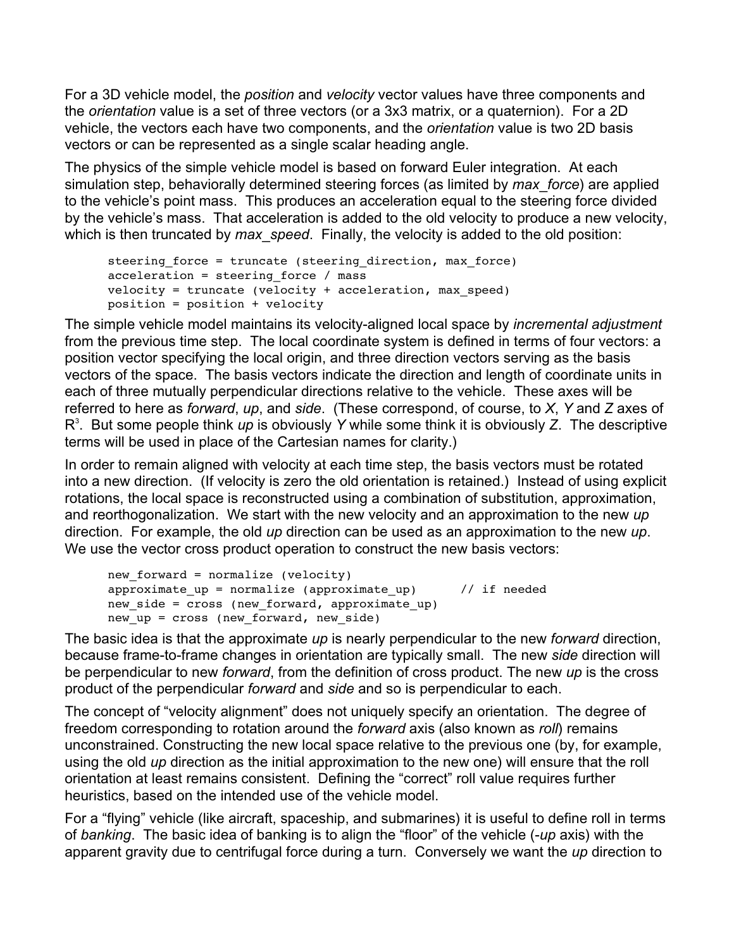For a 3D vehicle model, the *position* and *velocity* vector values have three components and the *orientation* value is a set of three vectors (or a 3x3 matrix, or a quaternion). For a 2D vehicle, the vectors each have two components, and the *orientation* value is two 2D basis vectors or can be represented as a single scalar heading angle.

The physics of the simple vehicle model is based on forward Euler integration. At each simulation step, behaviorally determined steering forces (as limited by *max\_force*) are applied to the vehicle's point mass. This produces an acceleration equal to the steering force divided by the vehicle's mass. That acceleration is added to the old velocity to produce a new velocity, which is then truncated by *max* speed. Finally, the velocity is added to the old position:

```
steering_force = truncate (steering_direction, max_force)
acceleration = steering_force / mass
velocity = truncate (velocity + acceleration, max_speed)
position = position + velocity
```
The simple vehicle model maintains its velocity-aligned local space by *incremental adjustment* from the previous time step. The local coordinate system is defined in terms of four vectors: a position vector specifying the local origin, and three direction vectors serving as the basis vectors of the space. The basis vectors indicate the direction and length of coordinate units in each of three mutually perpendicular directions relative to the vehicle. These axes will be referred to here as *forward*, *up*, and *side*. (These correspond, of course, to *X*, *Y* and *Z* axes of R 3 . But some people think *up* is obviously *Y* while some think it is obviously *Z*. The descriptive terms will be used in place of the Cartesian names for clarity.)

In order to remain aligned with velocity at each time step, the basis vectors must be rotated into a new direction. (If velocity is zero the old orientation is retained.) Instead of using explicit rotations, the local space is reconstructed using a combination of substitution, approximation, and reorthogonalization. We start with the new velocity and an approximation to the new *up* direction. For example, the old *up* direction can be used as an approximation to the new *up*. We use the vector cross product operation to construct the new basis vectors:

```
new forward = normalize (velocity)
approximate up = normalize (approximate up) // if needed
new side = cross (new forward, approximate up)
new up = cross (new forward, new side)
```
The basic idea is that the approximate *up* is nearly perpendicular to the new *forward* direction, because frame-to-frame changes in orientation are typically small. The new *side* direction will be perpendicular to new *forward*, from the definition of cross product. The new *up* is the cross product of the perpendicular *forward* and *side* and so is perpendicular to each.

The concept of "velocity alignment" does not uniquely specify an orientation. The degree of freedom corresponding to rotation around the *forward* axis (also known as *roll*) remains unconstrained. Constructing the new local space relative to the previous one (by, for example, using the old *up* direction as the initial approximation to the new one) will ensure that the roll orientation at least remains consistent. Defining the "correct" roll value requires further heuristics, based on the intended use of the vehicle model.

For a "flying" vehicle (like aircraft, spaceship, and submarines) it is useful to define roll in terms of *banking*. The basic idea of banking is to align the "floor" of the vehicle (-*up* axis) with the apparent gravity due to centrifugal force during a turn. Conversely we want the *up* direction to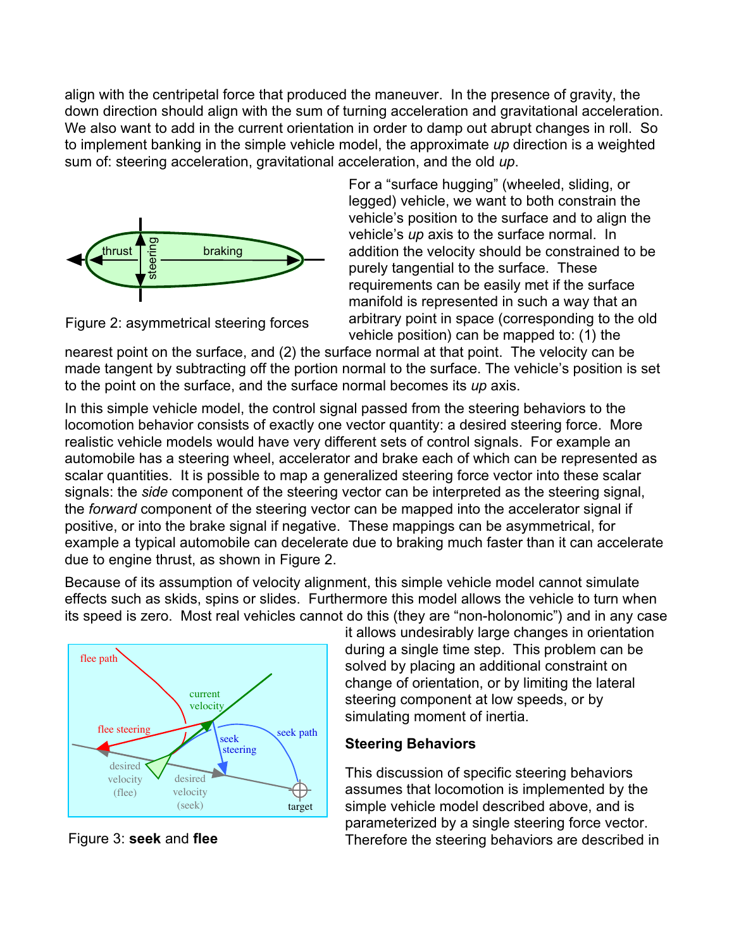align with the centripetal force that produced the maneuver. In the presence of gravity, the down direction should align with the sum of turning acceleration and gravitational acceleration. We also want to add in the current orientation in order to damp out abrupt changes in roll. So to implement banking in the simple vehicle model, the approximate *up* direction is a weighted sum of: steering acceleration, gravitational acceleration, and the old *up*.



Figure 2: asymmetrical steering forces

For a "surface hugging" (wheeled, sliding, or legged) vehicle, we want to both constrain the vehicle's position to the surface and to align the vehicle's *up* axis to the surface normal. In addition the velocity should be constrained to be purely tangential to the surface. These requirements can be easily met if the surface manifold is represented in such a way that an arbitrary point in space (corresponding to the old vehicle position) can be mapped to: (1) the

nearest point on the surface, and (2) the surface normal at that point. The velocity can be made tangent by subtracting off the portion normal to the surface. The vehicle's position is set to the point on the surface, and the surface normal becomes its *up* axis.

In this simple vehicle model, the control signal passed from the steering behaviors to the locomotion behavior consists of exactly one vector quantity: a desired steering force. More realistic vehicle models would have very different sets of control signals. For example an automobile has a steering wheel, accelerator and brake each of which can be represented as scalar quantities. It is possible to map a generalized steering force vector into these scalar signals: the *side* component of the steering vector can be interpreted as the steering signal, the *forward* component of the steering vector can be mapped into the accelerator signal if positive, or into the brake signal if negative. These mappings can be asymmetrical, for example a typical automobile can decelerate due to braking much faster than it can accelerate due to engine thrust, as shown in Figure 2.

Because of its assumption of velocity alignment, this simple vehicle model cannot simulate effects such as skids, spins or slides. Furthermore this model allows the vehicle to turn when its speed is zero. Most real vehicles cannot do this (they are "non-holonomic") and in any case



Figure 3: **seek** and **flee**

it allows undesirably large changes in orientation during a single time step. This problem can be solved by placing an additional constraint on change of orientation, or by limiting the lateral steering component at low speeds, or by simulating moment of inertia.

#### **Steering Behaviors**

This discussion of specific steering behaviors assumes that locomotion is implemented by the simple vehicle model described above, and is parameterized by a single steering force vector. Therefore the steering behaviors are described in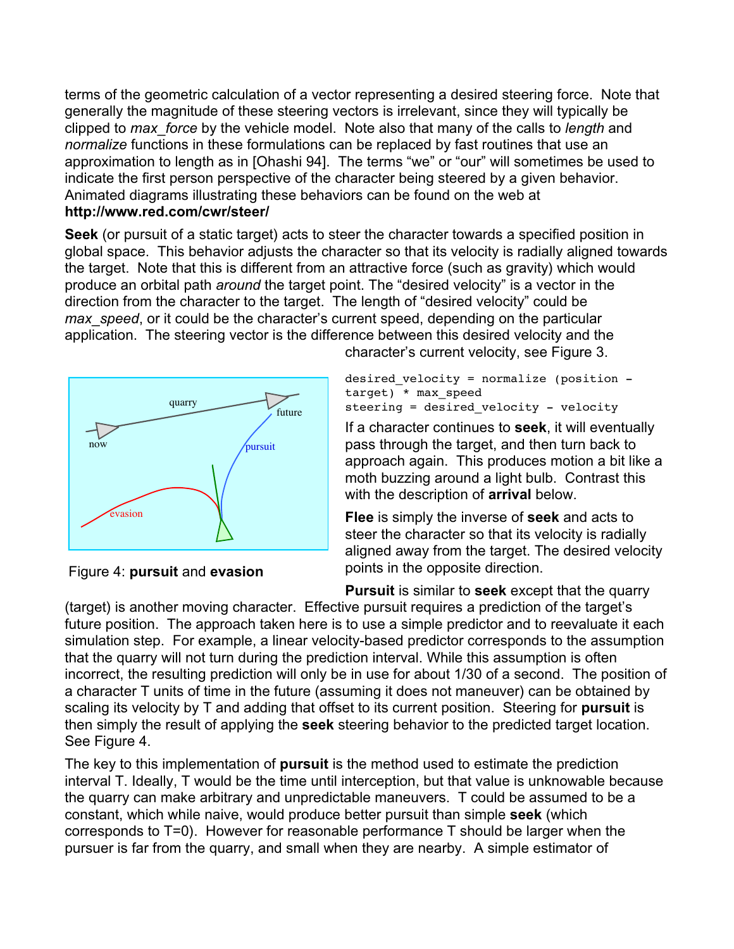terms of the geometric calculation of a vector representing a desired steering force. Note that generally the magnitude of these steering vectors is irrelevant, since they will typically be clipped to *max\_force* by the vehicle model. Note also that many of the calls to *length* and *normalize* functions in these formulations can be replaced by fast routines that use an approximation to length as in [Ohashi 94]. The terms "we" or "our" will sometimes be used to indicate the first person perspective of the character being steered by a given behavior. Animated diagrams illustrating these behaviors can be found on the web at **http://www.red.com/cwr/steer/**

**Seek** (or pursuit of a static target) acts to steer the character towards a specified position in global space. This behavior adjusts the character so that its velocity is radially aligned towards the target. Note that this is different from an attractive force (such as gravity) which would produce an orbital path *around* the target point. The "desired velocity" is a vector in the direction from the character to the target. The length of "desired velocity" could be *max* speed, or it could be the character's current speed, depending on the particular application. The steering vector is the difference between this desired velocity and the



Figure 4: **pursuit** and **evasion**

character's current velocity, see Figure 3.

```
desired velocity = normalize (position -target) * max_speed
steering = desired velocity - velocity
```
If a character continues to **seek**, it will eventually pass through the target, and then turn back to approach again. This produces motion a bit like a moth buzzing around a light bulb. Contrast this with the description of **arrival** below.

**Flee** is simply the inverse of **seek** and acts to steer the character so that its velocity is radially aligned away from the target. The desired velocity points in the opposite direction.

**Pursuit** is similar to **seek** except that the quarry (target) is another moving character. Effective pursuit requires a prediction of the target's future position. The approach taken here is to use a simple predictor and to reevaluate it each simulation step. For example, a linear velocity-based predictor corresponds to the assumption that the quarry will not turn during the prediction interval. While this assumption is often incorrect, the resulting prediction will only be in use for about 1/30 of a second. The position of a character T units of time in the future (assuming it does not maneuver) can be obtained by scaling its velocity by T and adding that offset to its current position. Steering for **pursuit** is then simply the result of applying the **seek** steering behavior to the predicted target location. See Figure 4.

The key to this implementation of **pursuit** is the method used to estimate the prediction interval T. Ideally, T would be the time until interception, but that value is unknowable because the quarry can make arbitrary and unpredictable maneuvers. T could be assumed to be a constant, which while naive, would produce better pursuit than simple **seek** (which corresponds to T=0). However for reasonable performance T should be larger when the pursuer is far from the quarry, and small when they are nearby. A simple estimator of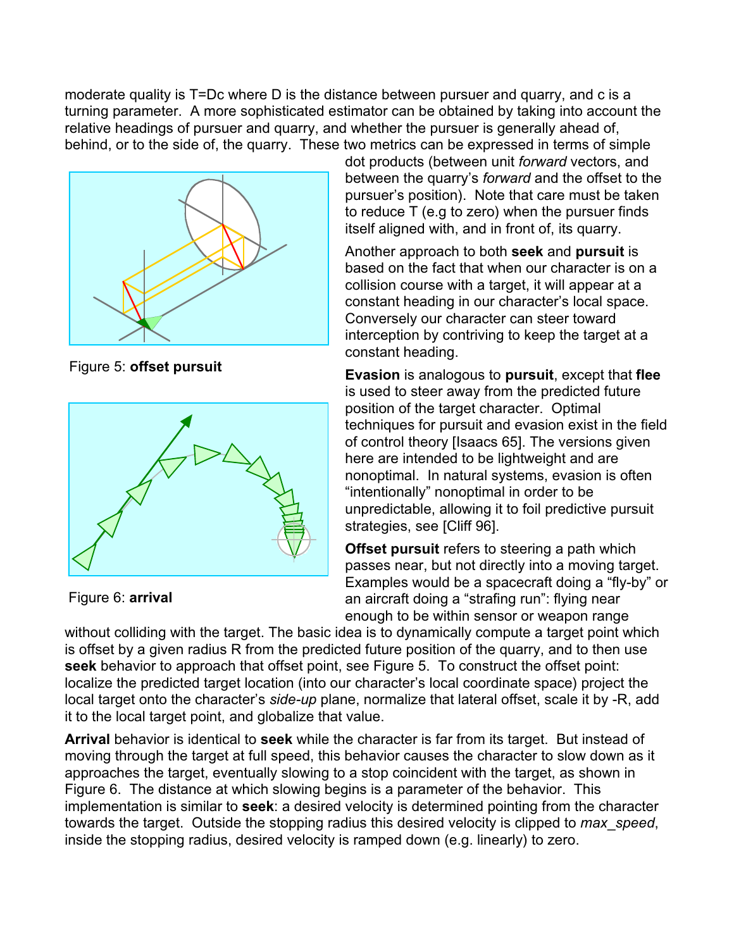moderate quality is T=Dc where D is the distance between pursuer and quarry, and c is a turning parameter. A more sophisticated estimator can be obtained by taking into account the relative headings of pursuer and quarry, and whether the pursuer is generally ahead of, behind, or to the side of, the quarry. These two metrics can be expressed in terms of simple



Figure 5: **offset pursuit**



Figure 6: **arrival**

dot products (between unit *forward* vectors, and between the quarry's *forward* and the offset to the pursuer's position). Note that care must be taken to reduce T (e.g to zero) when the pursuer finds itself aligned with, and in front of, its quarry.

Another approach to both **seek** and **pursuit** is based on the fact that when our character is on a collision course with a target, it will appear at a constant heading in our character's local space. Conversely our character can steer toward interception by contriving to keep the target at a constant heading.

**Evasion** is analogous to **pursuit**, except that **flee** is used to steer away from the predicted future position of the target character. Optimal techniques for pursuit and evasion exist in the field of control theory [Isaacs 65]. The versions given here are intended to be lightweight and are nonoptimal. In natural systems, evasion is often "intentionally" nonoptimal in order to be unpredictable, allowing it to foil predictive pursuit strategies, see [Cliff 96].

**Offset pursuit** refers to steering a path which passes near, but not directly into a moving target. Examples would be a spacecraft doing a "fly-by" or an aircraft doing a "strafing run": flying near enough to be within sensor or weapon range

without colliding with the target. The basic idea is to dynamically compute a target point which is offset by a given radius R from the predicted future position of the quarry, and to then use **seek** behavior to approach that offset point, see Figure 5. To construct the offset point: localize the predicted target location (into our character's local coordinate space) project the local target onto the character's *side-up* plane, normalize that lateral offset, scale it by -R, add it to the local target point, and globalize that value.

**Arrival** behavior is identical to **seek** while the character is far from its target. But instead of moving through the target at full speed, this behavior causes the character to slow down as it approaches the target, eventually slowing to a stop coincident with the target, as shown in Figure 6. The distance at which slowing begins is a parameter of the behavior. This implementation is similar to **seek**: a desired velocity is determined pointing from the character towards the target. Outside the stopping radius this desired velocity is clipped to *max\_speed*, inside the stopping radius, desired velocity is ramped down (e.g. linearly) to zero.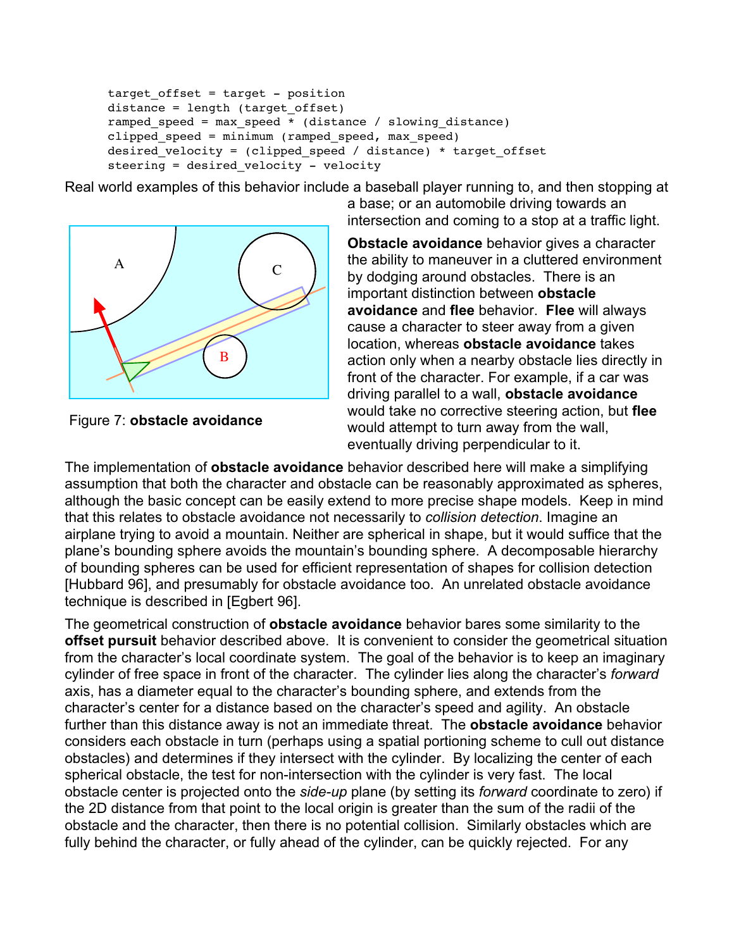```
target offset = target - position
distance = length (target offset)
ramped speed = max speed * (distance / slowing distance)
clipped speed = minimum (ramped speed, max speed)
desired velocity = (clipped speed / distance) * target offset
steering = desired velocity - velocity
```
Real world examples of this behavior include a baseball player running to, and then stopping at



Figure 7: **obstacle avoidance** 

a base; or an automobile driving towards an intersection and coming to a stop at a traffic light.

**Obstacle avoidance** behavior gives a character the ability to maneuver in a cluttered environment by dodging around obstacles. There is an important distinction between **obstacle avoidance** and **flee** behavior. **Flee** will always cause a character to steer away from a given location, whereas **obstacle avoidance** takes action only when a nearby obstacle lies directly in front of the character. For example, if a car was driving parallel to a wall, **obstacle avoidance** would take no corrective steering action, but **flee** would attempt to turn away from the wall, eventually driving perpendicular to it.

The implementation of **obstacle avoidance** behavior described here will make a simplifying assumption that both the character and obstacle can be reasonably approximated as spheres, although the basic concept can be easily extend to more precise shape models. Keep in mind that this relates to obstacle avoidance not necessarily to *collision detection*. Imagine an airplane trying to avoid a mountain. Neither are spherical in shape, but it would suffice that the plane's bounding sphere avoids the mountain's bounding sphere. A decomposable hierarchy of bounding spheres can be used for efficient representation of shapes for collision detection [Hubbard 96], and presumably for obstacle avoidance too. An unrelated obstacle avoidance technique is described in [Egbert 96].

The geometrical construction of **obstacle avoidance** behavior bares some similarity to the **offset pursuit** behavior described above. It is convenient to consider the geometrical situation from the character's local coordinate system. The goal of the behavior is to keep an imaginary cylinder of free space in front of the character. The cylinder lies along the character's *forward* axis, has a diameter equal to the character's bounding sphere, and extends from the character's center for a distance based on the character's speed and agility. An obstacle further than this distance away is not an immediate threat. The **obstacle avoidance** behavior considers each obstacle in turn (perhaps using a spatial portioning scheme to cull out distance obstacles) and determines if they intersect with the cylinder. By localizing the center of each spherical obstacle, the test for non-intersection with the cylinder is very fast. The local obstacle center is projected onto the *side-up* plane (by setting its *forward* coordinate to zero) if the 2D distance from that point to the local origin is greater than the sum of the radii of the obstacle and the character, then there is no potential collision. Similarly obstacles which are fully behind the character, or fully ahead of the cylinder, can be quickly rejected. For any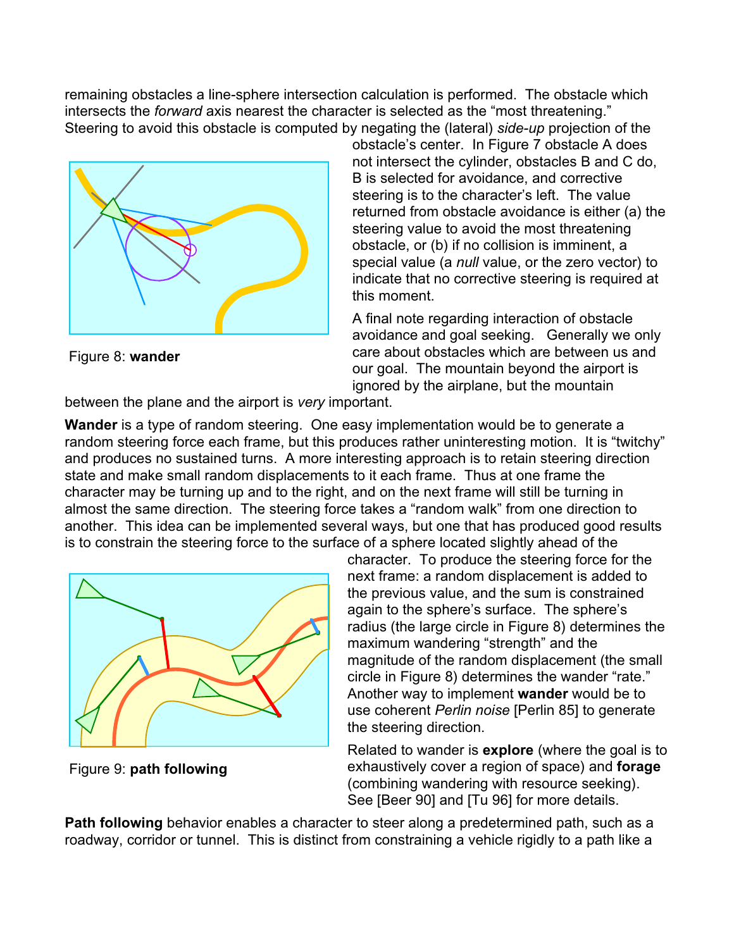remaining obstacles a line-sphere intersection calculation is performed. The obstacle which intersects the *forward* axis nearest the character is selected as the "most threatening." Steering to avoid this obstacle is computed by negating the (lateral) *side-up* projection of the



Figure 8: **wander** 

obstacle's center. In Figure 7 obstacle A does not intersect the cylinder, obstacles B and C do, B is selected for avoidance, and corrective steering is to the character's left. The value returned from obstacle avoidance is either (a) the steering value to avoid the most threatening obstacle, or (b) if no collision is imminent, a special value (a *null* value, or the zero vector) to indicate that no corrective steering is required at this moment.

A final note regarding interaction of obstacle avoidance and goal seeking. Generally we only care about obstacles which are between us and our goal. The mountain beyond the airport is ignored by the airplane, but the mountain

between the plane and the airport is *very* important.

**Wander** is a type of random steering. One easy implementation would be to generate a random steering force each frame, but this produces rather uninteresting motion. It is "twitchy" and produces no sustained turns. A more interesting approach is to retain steering direction state and make small random displacements to it each frame. Thus at one frame the character may be turning up and to the right, and on the next frame will still be turning in almost the same direction. The steering force takes a "random walk" from one direction to another. This idea can be implemented several ways, but one that has produced good results is to constrain the steering force to the surface of a sphere located slightly ahead of the



Figure 9: **path following**

character. To produce the steering force for the next frame: a random displacement is added to the previous value, and the sum is constrained again to the sphere's surface. The sphere's radius (the large circle in Figure 8) determines the maximum wandering "strength" and the magnitude of the random displacement (the small circle in Figure 8) determines the wander "rate." Another way to implement **wander** would be to use coherent *Perlin noise* [Perlin 85] to generate the steering direction.

Related to wander is **explore** (where the goal is to exhaustively cover a region of space) and **forage** (combining wandering with resource seeking). See [Beer 90] and [Tu 96] for more details.

**Path following** behavior enables a character to steer along a predetermined path, such as a roadway, corridor or tunnel. This is distinct from constraining a vehicle rigidly to a path like a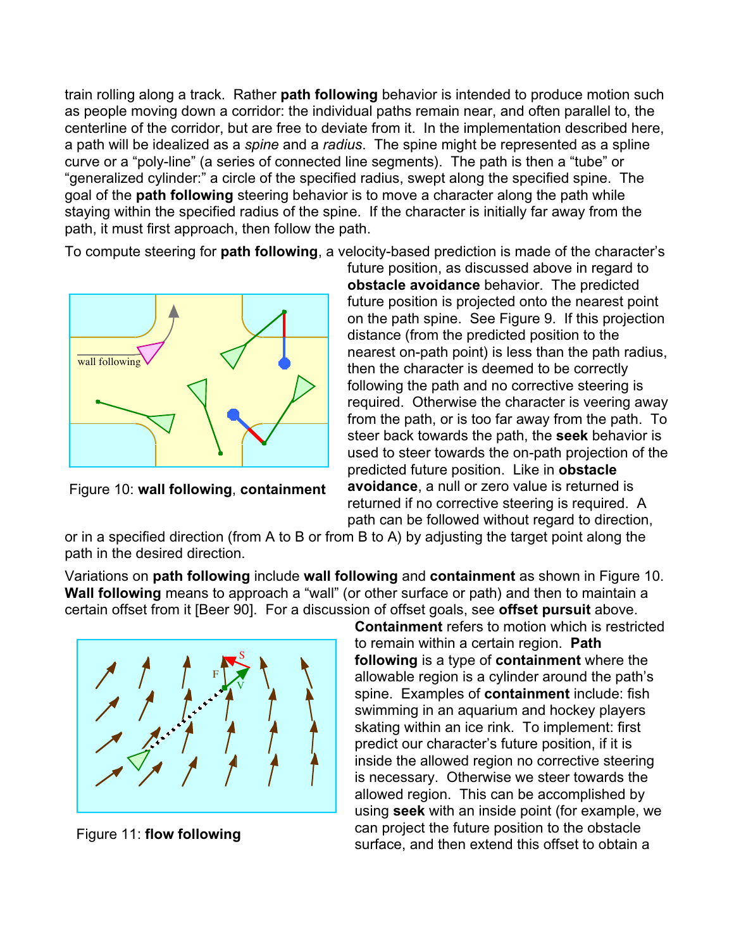train rolling along a track. Rather **path following** behavior is intended to produce motion such as people moving down a corridor: the individual paths remain near, and often parallel to, the centerline of the corridor, but are free to deviate from it. In the implementation described here, a path will be idealized as a *spine* and a *radius*. The spine might be represented as a spline curve or a "poly-line" (a series of connected line segments). The path is then a "tube" or "generalized cylinder:" a circle of the specified radius, swept along the specified spine. The goal of the **path following** steering behavior is to move a character along the path while staying within the specified radius of the spine. If the character is initially far away from the path, it must first approach, then follow the path.

To compute steering for **path following**, a velocity-based prediction is made of the character's



Figure 10: **wall following**, **containment** 

future position, as discussed above in regard to **obstacle avoidance** behavior. The predicted future position is projected onto the nearest point on the path spine. See Figure 9. If this projection distance (from the predicted position to the nearest on-path point) is less than the path radius, then the character is deemed to be correctly following the path and no corrective steering is required. Otherwise the character is veering away from the path, or is too far away from the path. To steer back towards the path, the **seek** behavior is used to steer towards the on-path projection of the predicted future position. Like in **obstacle avoidance**, a null or zero value is returned is returned if no corrective steering is required. A path can be followed without regard to direction,

or in a specified direction (from A to B or from B to A) by adjusting the target point along the path in the desired direction.

Variations on **path following** include **wall following** and **containment** as shown in Figure 10. **Wall following** means to approach a "wall" (or other surface or path) and then to maintain a certain offset from it [Beer 90]. For a discussion of offset goals, see **offset pursuit** above.



Figure 11: **flow following** 

**Containment** refers to motion which is restricted to remain within a certain region. **Path following** is a type of **containment** where the allowable region is a cylinder around the path's spine. Examples of **containment** include: fish swimming in an aquarium and hockey players skating within an ice rink. To implement: first predict our character's future position, if it is inside the allowed region no corrective steering is necessary. Otherwise we steer towards the allowed region. This can be accomplished by using **seek** with an inside point (for example, we can project the future position to the obstacle surface, and then extend this offset to obtain a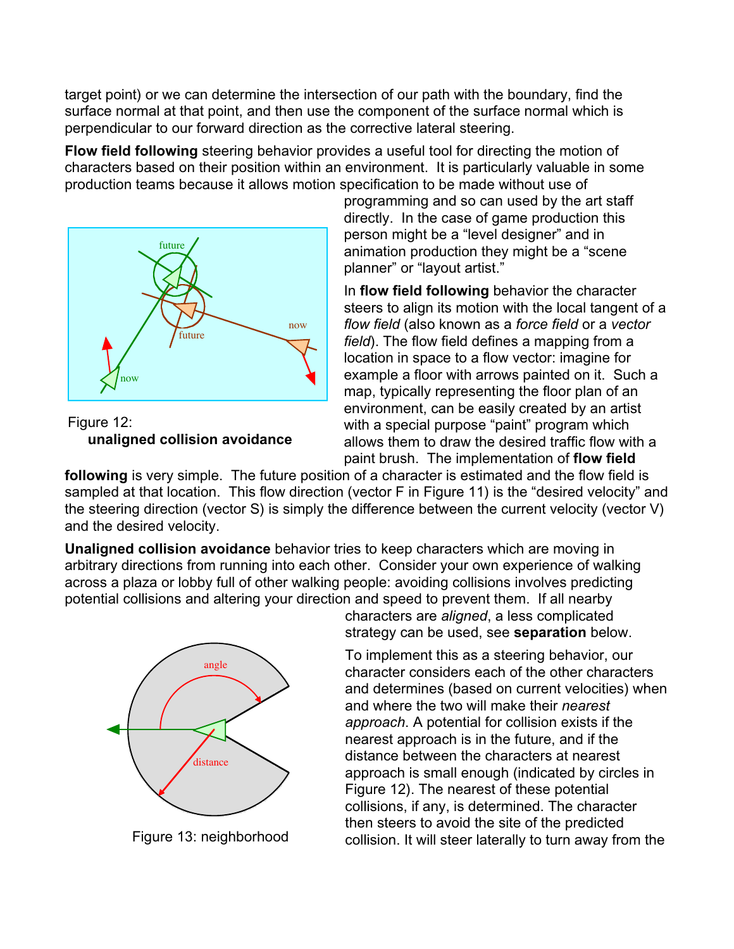target point) or we can determine the intersection of our path with the boundary, find the surface normal at that point, and then use the component of the surface normal which is perpendicular to our forward direction as the corrective lateral steering.

**Flow field following** steering behavior provides a useful tool for directing the motion of characters based on their position within an environment. It is particularly valuable in some production teams because it allows motion specification to be made without use of



Figure 12: **unaligned collision avoidance**

programming and so can used by the art staff directly. In the case of game production this person might be a "level designer" and in animation production they might be a "scene planner" or "layout artist."

In **flow field following** behavior the character steers to align its motion with the local tangent of a *flow field* (also known as a *force field* or a *vector field*). The flow field defines a mapping from a location in space to a flow vector: imagine for example a floor with arrows painted on it. Such a map, typically representing the floor plan of an environment, can be easily created by an artist with a special purpose "paint" program which allows them to draw the desired traffic flow with a paint brush. The implementation of **flow field** 

**following** is very simple. The future position of a character is estimated and the flow field is sampled at that location. This flow direction (vector F in Figure 11) is the "desired velocity" and the steering direction (vector S) is simply the difference between the current velocity (vector V) and the desired velocity.

**Unaligned collision avoidance** behavior tries to keep characters which are moving in arbitrary directions from running into each other. Consider your own experience of walking across a plaza or lobby full of other walking people: avoiding collisions involves predicting potential collisions and altering your direction and speed to prevent them. If all nearby



characters are *aligned*, a less complicated strategy can be used, see **separation** below.

To implement this as a steering behavior, our character considers each of the other characters and determines (based on current velocities) when and where the two will make their *nearest approach*. A potential for collision exists if the nearest approach is in the future, and if the distance between the characters at nearest approach is small enough (indicated by circles in Figure 12). The nearest of these potential collisions, if any, is determined. The character then steers to avoid the site of the predicted Figure 13: neighborhood collision. It will steer laterally to turn away from the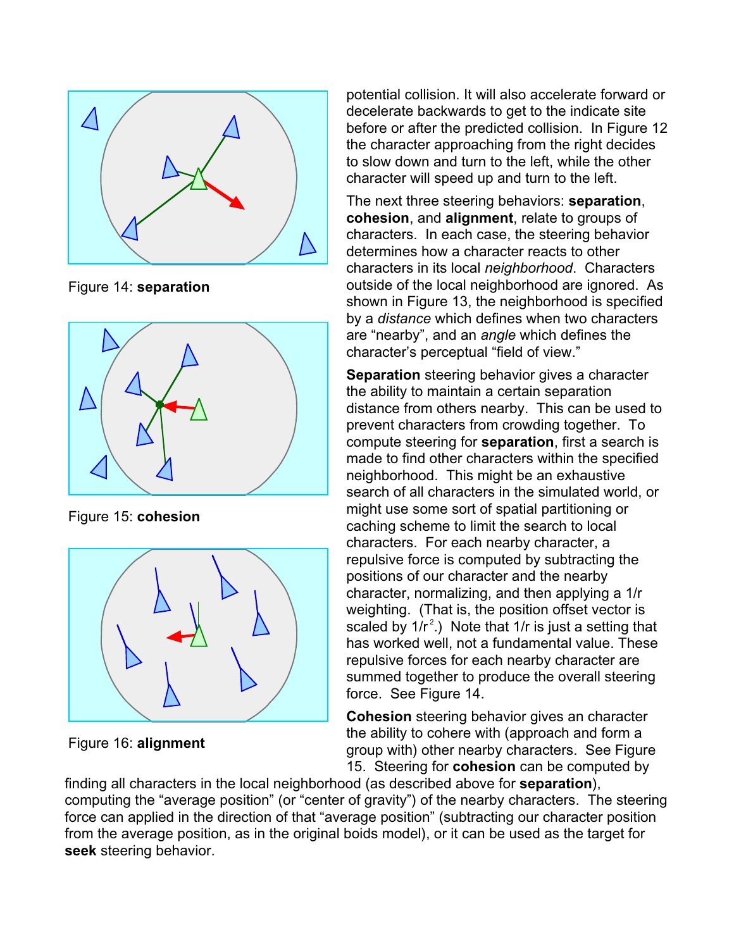

Figure 14: **separation** 



Figure 15: **cohesion** 



Figure 16: **alignment** 

potential collision. It will also accelerate forward or decelerate backwards to get to the indicate site before or after the predicted collision. In Figure 12 the character approaching from the right decides to slow down and turn to the left, while the other character will speed up and turn to the left.

The next three steering behaviors: **separation**, **cohesion**, and **alignment**, relate to groups of characters. In each case, the steering behavior determines how a character reacts to other characters in its local *neighborhood*. Characters outside of the local neighborhood are ignored. As shown in Figure 13, the neighborhood is specified by a *distance* which defines when two characters are "nearby", and an *angle* which defines the character's perceptual "field of view."

**Separation** steering behavior gives a character the ability to maintain a certain separation distance from others nearby. This can be used to prevent characters from crowding together. To compute steering for **separation**, first a search is made to find other characters within the specified neighborhood. This might be an exhaustive search of all characters in the simulated world, or might use some sort of spatial partitioning or caching scheme to limit the search to local characters. For each nearby character, a repulsive force is computed by subtracting the positions of our character and the nearby character, normalizing, and then applying a 1/r weighting. (That is, the position offset vector is scaled by  $1/r^2$ .) Note that  $1/r$  is just a setting that has worked well, not a fundamental value. These repulsive forces for each nearby character are summed together to produce the overall steering force. See Figure 14.

**Cohesion** steering behavior gives an character the ability to cohere with (approach and form a group with) other nearby characters. See Figure 15. Steering for **cohesion** can be computed by

finding all characters in the local neighborhood (as described above for **separation**), computing the "average position" (or "center of gravity") of the nearby characters. The steering force can applied in the direction of that "average position" (subtracting our character position from the average position, as in the original boids model), or it can be used as the target for **seek** steering behavior.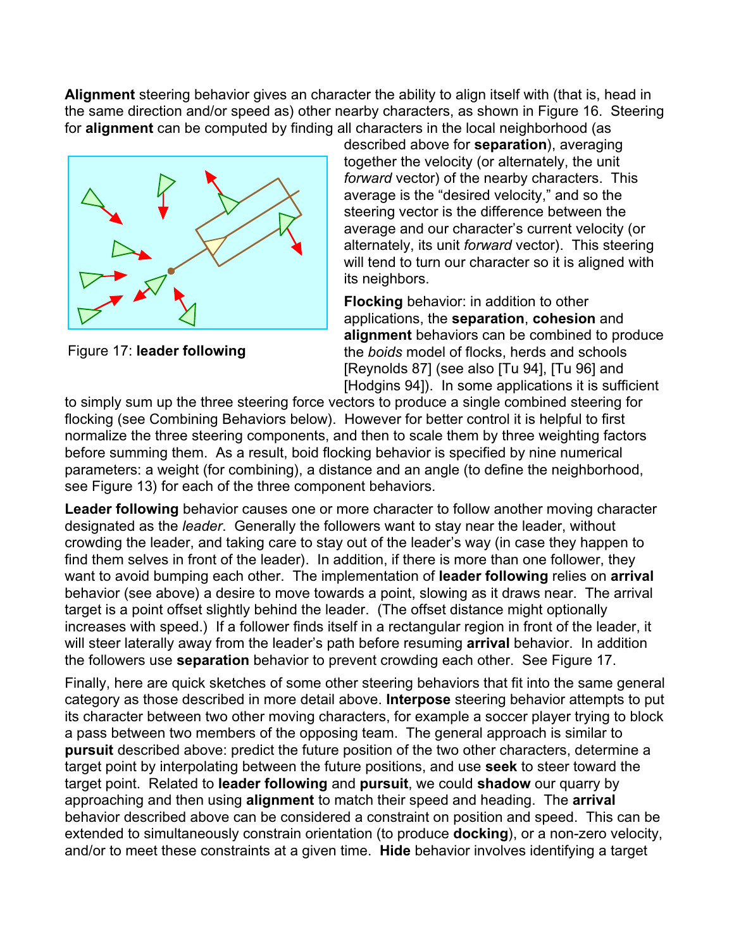**Alignment** steering behavior gives an character the ability to align itself with (that is, head in the same direction and/or speed as) other nearby characters, as shown in Figure 16. Steering for **alignment** can be computed by finding all characters in the local neighborhood (as



Figure 17: **leader following**

described above for **separation**), averaging together the velocity (or alternately, the unit *forward* vector) of the nearby characters. This average is the "desired velocity," and so the steering vector is the difference between the average and our character's current velocity (or alternately, its unit *forward* vector). This steering will tend to turn our character so it is aligned with its neighbors.

**Flocking** behavior: in addition to other applications, the **separation**, **cohesion** and **alignment** behaviors can be combined to produce the *boids* model of flocks, herds and schools [Reynolds 87] (see also [Tu 94], [Tu 96] and [Hodgins 94]). In some applications it is sufficient

to simply sum up the three steering force vectors to produce a single combined steering for flocking (see Combining Behaviors below). However for better control it is helpful to first normalize the three steering components, and then to scale them by three weighting factors before summing them. As a result, boid flocking behavior is specified by nine numerical parameters: a weight (for combining), a distance and an angle (to define the neighborhood, see Figure 13) for each of the three component behaviors.

**Leader following** behavior causes one or more character to follow another moving character designated as the *leader*. Generally the followers want to stay near the leader, without crowding the leader, and taking care to stay out of the leader's way (in case they happen to find them selves in front of the leader). In addition, if there is more than one follower, they want to avoid bumping each other. The implementation of **leader following** relies on **arrival** behavior (see above) a desire to move towards a point, slowing as it draws near. The arrival target is a point offset slightly behind the leader. (The offset distance might optionally increases with speed.) If a follower finds itself in a rectangular region in front of the leader, it will steer laterally away from the leader's path before resuming **arrival** behavior. In addition the followers use **separation** behavior to prevent crowding each other. See Figure 17.

Finally, here are quick sketches of some other steering behaviors that fit into the same general category as those described in more detail above. **Interpose** steering behavior attempts to put its character between two other moving characters, for example a soccer player trying to block a pass between two members of the opposing team. The general approach is similar to **pursuit** described above: predict the future position of the two other characters, determine a target point by interpolating between the future positions, and use **seek** to steer toward the target point. Related to **leader following** and **pursuit**, we could **shadow** our quarry by approaching and then using **alignment** to match their speed and heading. The **arrival** behavior described above can be considered a constraint on position and speed. This can be extended to simultaneously constrain orientation (to produce **docking**), or a non-zero velocity, and/or to meet these constraints at a given time. **Hide** behavior involves identifying a target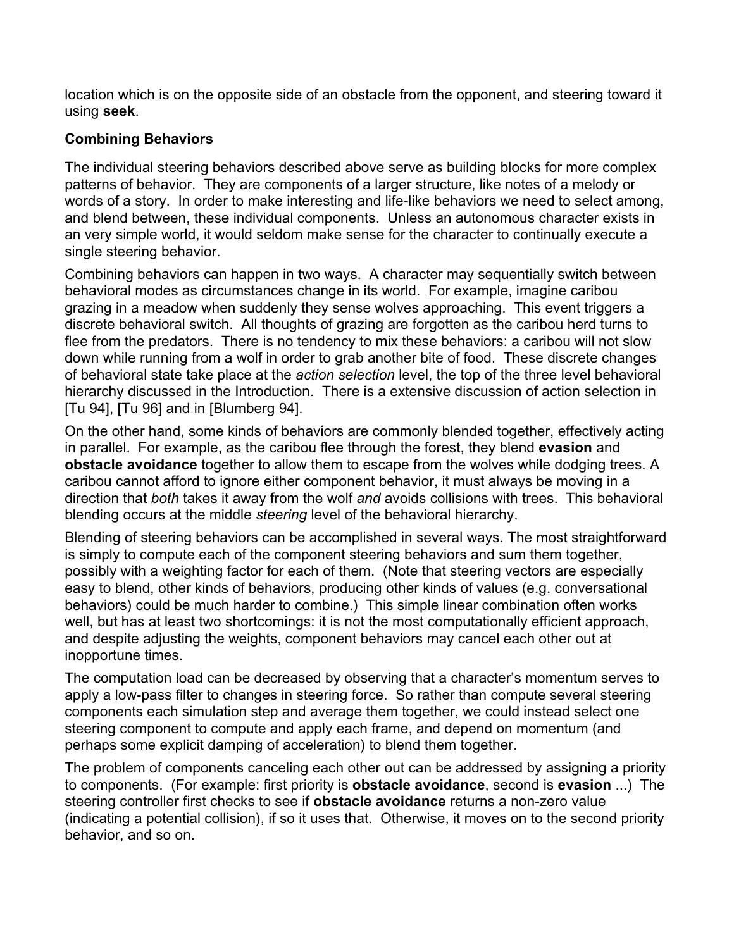location which is on the opposite side of an obstacle from the opponent, and steering toward it using **seek**.

## **Combining Behaviors**

The individual steering behaviors described above serve as building blocks for more complex patterns of behavior. They are components of a larger structure, like notes of a melody or words of a story. In order to make interesting and life-like behaviors we need to select among, and blend between, these individual components. Unless an autonomous character exists in an very simple world, it would seldom make sense for the character to continually execute a single steering behavior.

Combining behaviors can happen in two ways. A character may sequentially switch between behavioral modes as circumstances change in its world. For example, imagine caribou grazing in a meadow when suddenly they sense wolves approaching. This event triggers a discrete behavioral switch. All thoughts of grazing are forgotten as the caribou herd turns to flee from the predators. There is no tendency to mix these behaviors: a caribou will not slow down while running from a wolf in order to grab another bite of food. These discrete changes of behavioral state take place at the *action selection* level, the top of the three level behavioral hierarchy discussed in the Introduction. There is a extensive discussion of action selection in [Tu 94], [Tu 96] and in [Blumberg 94].

On the other hand, some kinds of behaviors are commonly blended together, effectively acting in parallel. For example, as the caribou flee through the forest, they blend **evasion** and **obstacle avoidance** together to allow them to escape from the wolves while dodging trees. A caribou cannot afford to ignore either component behavior, it must always be moving in a direction that *both* takes it away from the wolf *and* avoids collisions with trees. This behavioral blending occurs at the middle *steering* level of the behavioral hierarchy.

Blending of steering behaviors can be accomplished in several ways. The most straightforward is simply to compute each of the component steering behaviors and sum them together, possibly with a weighting factor for each of them. (Note that steering vectors are especially easy to blend, other kinds of behaviors, producing other kinds of values (e.g. conversational behaviors) could be much harder to combine.) This simple linear combination often works well, but has at least two shortcomings: it is not the most computationally efficient approach, and despite adjusting the weights, component behaviors may cancel each other out at inopportune times.

The computation load can be decreased by observing that a character's momentum serves to apply a low-pass filter to changes in steering force. So rather than compute several steering components each simulation step and average them together, we could instead select one steering component to compute and apply each frame, and depend on momentum (and perhaps some explicit damping of acceleration) to blend them together.

The problem of components canceling each other out can be addressed by assigning a priority to components. (For example: first priority is **obstacle avoidance**, second is **evasion** ...) The steering controller first checks to see if **obstacle avoidance** returns a non-zero value (indicating a potential collision), if so it uses that. Otherwise, it moves on to the second priority behavior, and so on.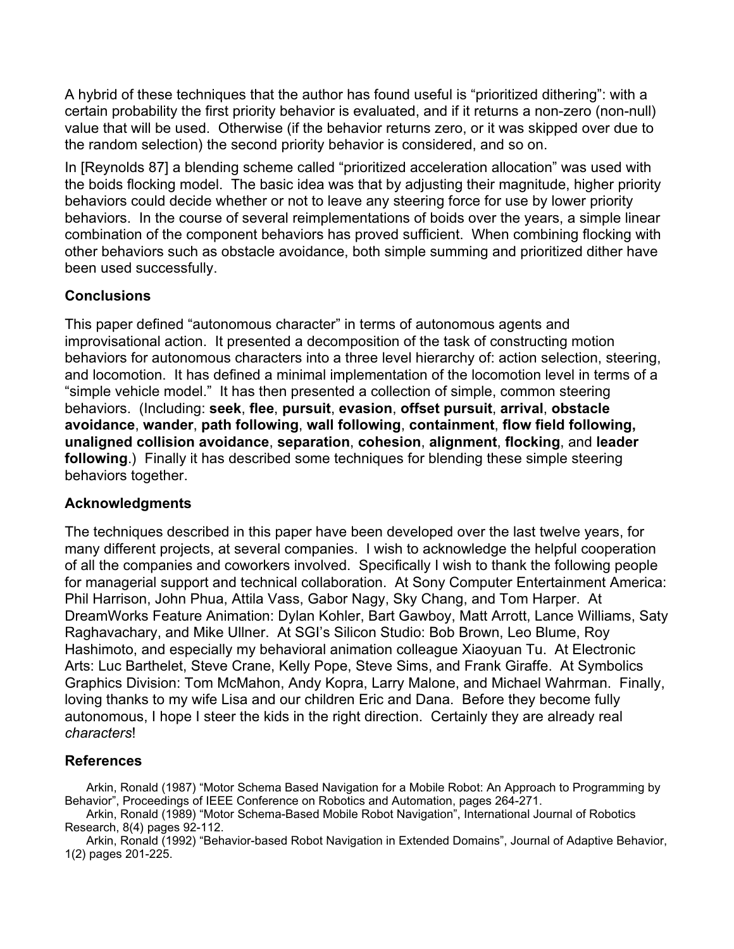A hybrid of these techniques that the author has found useful is "prioritized dithering": with a certain probability the first priority behavior is evaluated, and if it returns a non-zero (non-null) value that will be used. Otherwise (if the behavior returns zero, or it was skipped over due to the random selection) the second priority behavior is considered, and so on.

In [Reynolds 87] a blending scheme called "prioritized acceleration allocation" was used with the boids flocking model. The basic idea was that by adjusting their magnitude, higher priority behaviors could decide whether or not to leave any steering force for use by lower priority behaviors. In the course of several reimplementations of boids over the years, a simple linear combination of the component behaviors has proved sufficient. When combining flocking with other behaviors such as obstacle avoidance, both simple summing and prioritized dither have been used successfully.

## **Conclusions**

This paper defined "autonomous character" in terms of autonomous agents and improvisational action. It presented a decomposition of the task of constructing motion behaviors for autonomous characters into a three level hierarchy of: action selection, steering, and locomotion. It has defined a minimal implementation of the locomotion level in terms of a "simple vehicle model." It has then presented a collection of simple, common steering behaviors. (Including: **seek**, **flee**, **pursuit**, **evasion**, **offset pursuit**, **arrival**, **obstacle avoidance**, **wander**, **path following**, **wall following**, **containment**, **flow field following, unaligned collision avoidance**, **separation**, **cohesion**, **alignment**, **flocking**, and **leader following**.) Finally it has described some techniques for blending these simple steering behaviors together.

#### **Acknowledgments**

The techniques described in this paper have been developed over the last twelve years, for many different projects, at several companies. I wish to acknowledge the helpful cooperation of all the companies and coworkers involved. Specifically I wish to thank the following people for managerial support and technical collaboration. At Sony Computer Entertainment America: Phil Harrison, John Phua, Attila Vass, Gabor Nagy, Sky Chang, and Tom Harper. At DreamWorks Feature Animation: Dylan Kohler, Bart Gawboy, Matt Arrott, Lance Williams, Saty Raghavachary, and Mike Ullner. At SGI's Silicon Studio: Bob Brown, Leo Blume, Roy Hashimoto, and especially my behavioral animation colleague Xiaoyuan Tu. At Electronic Arts: Luc Barthelet, Steve Crane, Kelly Pope, Steve Sims, and Frank Giraffe. At Symbolics Graphics Division: Tom McMahon, Andy Kopra, Larry Malone, and Michael Wahrman. Finally, loving thanks to my wife Lisa and our children Eric and Dana. Before they become fully autonomous, I hope I steer the kids in the right direction. Certainly they are already real *characters*!

#### **References**

Arkin, Ronald (1987) "Motor Schema Based Navigation for a Mobile Robot: An Approach to Programming by Behavior", Proceedings of IEEE Conference on Robotics and Automation, pages 264-271.

Arkin, Ronald (1989) "Motor Schema-Based Mobile Robot Navigation", International Journal of Robotics Research, 8(4) pages 92-112.

Arkin, Ronald (1992) "Behavior-based Robot Navigation in Extended Domains", Journal of Adaptive Behavior, 1(2) pages 201-225.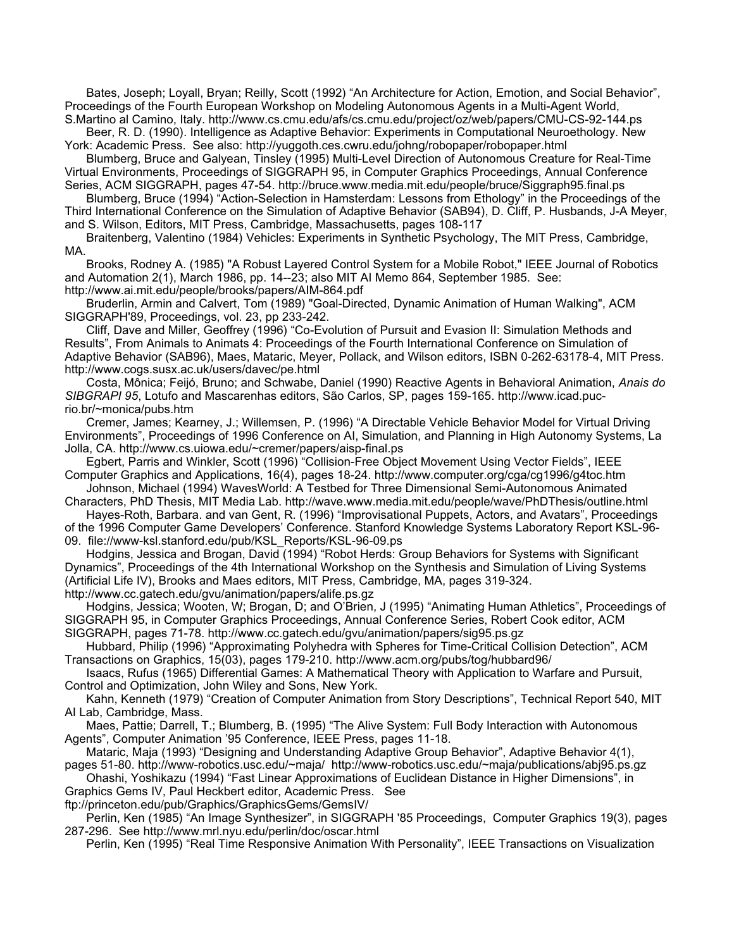Bates, Joseph; Loyall, Bryan; Reilly, Scott (1992) "An Architecture for Action, Emotion, and Social Behavior", Proceedings of the Fourth European Workshop on Modeling Autonomous Agents in a Multi-Agent World, S.Martino al Camino, Italy. http://www.cs.cmu.edu/afs/cs.cmu.edu/project/oz/web/papers/CMU-CS-92-144.ps

Beer, R. D. (1990). Intelligence as Adaptive Behavior: Experiments in Computational Neuroethology. New York: Academic Press. See also: http://yuggoth.ces.cwru.edu/johng/robopaper/robopaper.html

Blumberg, Bruce and Galyean, Tinsley (1995) Multi-Level Direction of Autonomous Creature for Real-Time Virtual Environments, Proceedings of SIGGRAPH 95, in Computer Graphics Proceedings, Annual Conference Series, ACM SIGGRAPH, pages 47-54. http://bruce.www.media.mit.edu/people/bruce/Siggraph95.final.ps

Blumberg, Bruce (1994) "Action-Selection in Hamsterdam: Lessons from Ethology" in the Proceedings of the Third International Conference on the Simulation of Adaptive Behavior (SAB94), D. Cliff, P. Husbands, J-A Meyer, and S. Wilson, Editors, MIT Press, Cambridge, Massachusetts, pages 108-117

Braitenberg, Valentino (1984) Vehicles: Experiments in Synthetic Psychology, The MIT Press, Cambridge, MA.

Brooks, Rodney A. (1985) "A Robust Layered Control System for a Mobile Robot," IEEE Journal of Robotics and Automation 2(1), March 1986, pp. 14--23; also MIT AI Memo 864, September 1985. See: http://www.ai.mit.edu/people/brooks/papers/AIM-864.pdf

Bruderlin, Armin and Calvert, Tom (1989) "Goal-Directed, Dynamic Animation of Human Walking", ACM SIGGRAPH'89, Proceedings, vol. 23, pp 233-242.

Cliff, Dave and Miller, Geoffrey (1996) "Co-Evolution of Pursuit and Evasion II: Simulation Methods and Results", From Animals to Animats 4: Proceedings of the Fourth International Conference on Simulation of Adaptive Behavior (SAB96), Maes, Mataric, Meyer, Pollack, and Wilson editors, ISBN 0-262-63178-4, MIT Press. http://www.cogs.susx.ac.uk/users/davec/pe.html

Costa, Mônica; Feijó, Bruno; and Schwabe, Daniel (1990) Reactive Agents in Behavioral Animation, *Anais do SIBGRAPI 95*, Lotufo and Mascarenhas editors, São Carlos, SP, pages 159-165. http://www.icad.pucrio.br/~monica/pubs.htm

Cremer, James; Kearney, J.; Willemsen, P. (1996) "A Directable Vehicle Behavior Model for Virtual Driving Environments", Proceedings of 1996 Conference on AI, Simulation, and Planning in High Autonomy Systems, La Jolla, CA. http://www.cs.uiowa.edu/~cremer/papers/aisp-final.ps

Egbert, Parris and Winkler, Scott (1996) "Collision-Free Object Movement Using Vector Fields", IEEE Computer Graphics and Applications, 16(4), pages 18-24. http://www.computer.org/cga/cg1996/g4toc.htm

Johnson, Michael (1994) WavesWorld: A Testbed for Three Dimensional Semi-Autonomous Animated Characters, PhD Thesis, MIT Media Lab. http://wave.www.media.mit.edu/people/wave/PhDThesis/outline.html

Hayes-Roth, Barbara. and van Gent, R. (1996) "Improvisational Puppets, Actors, and Avatars", Proceedings of the 1996 Computer Game Developers' Conference. Stanford Knowledge Systems Laboratory Report KSL-96- 09. file://www-ksl.stanford.edu/pub/KSL\_Reports/KSL-96-09.ps

Hodgins, Jessica and Brogan, David (1994) "Robot Herds: Group Behaviors for Systems with Significant Dynamics", Proceedings of the 4th International Workshop on the Synthesis and Simulation of Living Systems (Artificial Life IV), Brooks and Maes editors, MIT Press, Cambridge, MA, pages 319-324. http://www.cc.gatech.edu/gvu/animation/papers/alife.ps.gz

Hodgins, Jessica; Wooten, W; Brogan, D; and O'Brien, J (1995) "Animating Human Athletics", Proceedings of SIGGRAPH 95, in Computer Graphics Proceedings, Annual Conference Series, Robert Cook editor, ACM SIGGRAPH, pages 71-78. http://www.cc.gatech.edu/gvu/animation/papers/sig95.ps.gz

Hubbard, Philip (1996) "Approximating Polyhedra with Spheres for Time-Critical Collision Detection", ACM Transactions on Graphics, 15(03), pages 179-210. http://www.acm.org/pubs/tog/hubbard96/

Isaacs, Rufus (1965) Differential Games: A Mathematical Theory with Application to Warfare and Pursuit, Control and Optimization, John Wiley and Sons, New York.

Kahn, Kenneth (1979) "Creation of Computer Animation from Story Descriptions", Technical Report 540, MIT AI Lab, Cambridge, Mass.

Maes, Pattie; Darrell, T.; Blumberg, B. (1995) "The Alive System: Full Body Interaction with Autonomous Agents", Computer Animation '95 Conference, IEEE Press, pages 11-18.

Mataric, Maja (1993) "Designing and Understanding Adaptive Group Behavior", Adaptive Behavior 4(1), pages 51-80. http://www-robotics.usc.edu/~maja/ http://www-robotics.usc.edu/~maja/publications/abj95.ps.gz

Ohashi, Yoshikazu (1994) "Fast Linear Approximations of Euclidean Distance in Higher Dimensions", in Graphics Gems IV, Paul Heckbert editor, Academic Press. See

ftp://princeton.edu/pub/Graphics/GraphicsGems/GemsIV/

Perlin, Ken (1985) "An Image Synthesizer", in SIGGRAPH '85 Proceedings, Computer Graphics 19(3), pages 287-296. See http://www.mrl.nyu.edu/perlin/doc/oscar.html

Perlin, Ken (1995) "Real Time Responsive Animation With Personality", IEEE Transactions on Visualization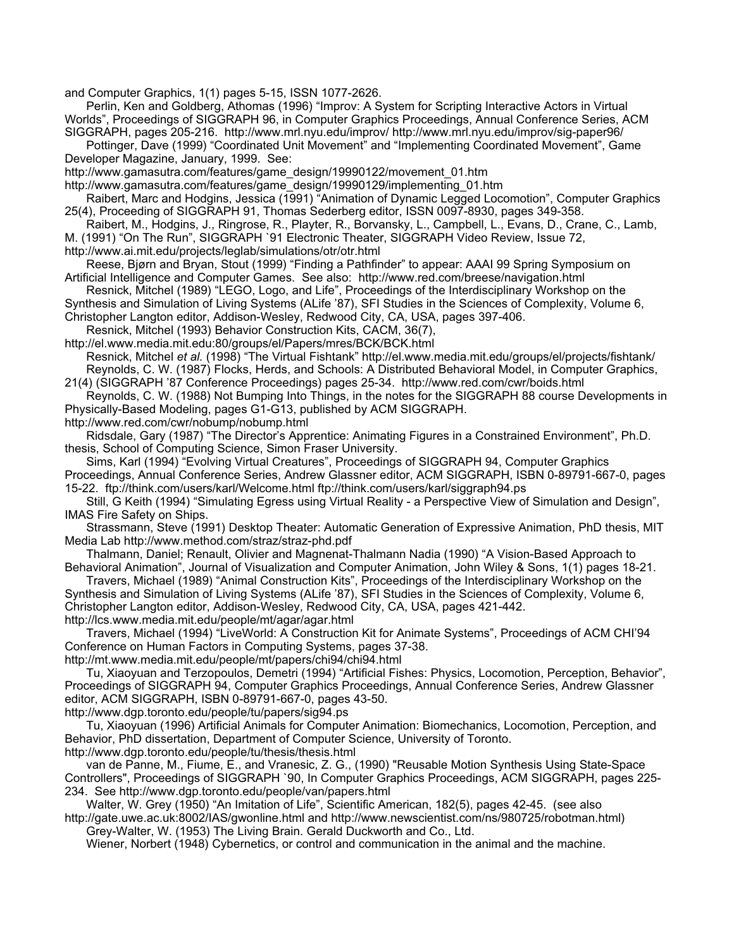and Computer Graphics, 1(1) pages 5-15, ISSN 1077-2626.

Perlin, Ken and Goldberg, Athomas (1996) "Improv: A System for Scripting Interactive Actors in Virtual Worlds", Proceedings of SIGGRAPH 96, in Computer Graphics Proceedings, Annual Conference Series, ACM

SIGGRAPH, pages 205-216. http://www.mrl.nyu.edu/improv/ http://www.mrl.nyu.edu/improv/sig-paper96/ Pottinger, Dave (1999) "Coordinated Unit Movement" and "Implementing Coordinated Movement", Game Developer Magazine, January, 1999. See:

http://www.gamasutra.com/features/game\_design/19990122/movement\_01.htm http://www.gamasutra.com/features/game\_design/19990129/implementing\_01.htm

Raibert, Marc and Hodgins, Jessica (1991) "Animation of Dynamic Legged Locomotion", Computer Graphics 25(4), Proceeding of SIGGRAPH 91, Thomas Sederberg editor, ISSN 0097-8930, pages 349-358.

Raibert, M., Hodgins, J., Ringrose, R., Playter, R., Borvansky, L., Campbell, L., Evans, D., Crane, C., Lamb, M. (1991) "On The Run", SIGGRAPH `91 Electronic Theater, SIGGRAPH Video Review, Issue 72,

http://www.ai.mit.edu/projects/leglab/simulations/otr/otr.html

Reese, Bjørn and Bryan, Stout (1999) "Finding a Pathfinder" to appear: AAAI 99 Spring Symposium on Artificial Intelligence and Computer Games. See also: http://www.red.com/breese/navigation.html

Resnick, Mitchel (1989) "LEGO, Logo, and Life", Proceedings of the Interdisciplinary Workshop on the

Synthesis and Simulation of Living Systems (ALife '87), SFI Studies in the Sciences of Complexity, Volume 6,

Christopher Langton editor, Addison-Wesley, Redwood City, CA, USA, pages 397-406.

Resnick, Mitchel (1993) Behavior Construction Kits, CACM, 36(7),

http://el.www.media.mit.edu:80/groups/el/Papers/mres/BCK/BCK.html Resnick, Mitchel *et al.* (1998) "The Virtual Fishtank" http://el.www.media.mit.edu/groups/el/projects/fishtank/ Reynolds, C. W. (1987) Flocks, Herds, and Schools: A Distributed Behavioral Model, in Computer Graphics,

21(4) (SIGGRAPH '87 Conference Proceedings) pages 25-34. http://www.red.com/cwr/boids.html Reynolds, C. W. (1988) Not Bumping Into Things, in the notes for the SIGGRAPH 88 course Developments in

Physically-Based Modeling, pages G1-G13, published by ACM SIGGRAPH. http://www.red.com/cwr/nobump/nobump.html

Ridsdale, Gary (1987) "The Director's Apprentice: Animating Figures in a Constrained Environment", Ph.D. thesis, School of Computing Science, Simon Fraser University.

Sims, Karl (1994) "Evolving Virtual Creatures", Proceedings of SIGGRAPH 94, Computer Graphics Proceedings, Annual Conference Series, Andrew Glassner editor, ACM SIGGRAPH, ISBN 0-89791-667-0, pages 15-22. ftp://think.com/users/karl/Welcome.html ftp://think.com/users/karl/siggraph94.ps

Still, G Keith (1994) "Simulating Egress using Virtual Reality - a Perspective View of Simulation and Design", IMAS Fire Safety on Ships.

Strassmann, Steve (1991) Desktop Theater: Automatic Generation of Expressive Animation, PhD thesis, MIT Media Lab http://www.method.com/straz/straz-phd.pdf

Thalmann, Daniel; Renault, Olivier and Magnenat-Thalmann Nadia (1990) "A Vision-Based Approach to Behavioral Animation", Journal of Visualization and Computer Animation, John Wiley & Sons, 1(1) pages 18-21.

Travers, Michael (1989) "Animal Construction Kits", Proceedings of the Interdisciplinary Workshop on the Synthesis and Simulation of Living Systems (ALife '87), SFI Studies in the Sciences of Complexity, Volume 6, Christopher Langton editor, Addison-Wesley, Redwood City, CA, USA, pages 421-442. http://lcs.www.media.mit.edu/people/mt/agar/agar.html

Travers, Michael (1994) "LiveWorld: A Construction Kit for Animate Systems", Proceedings of ACM CHI'94 Conference on Human Factors in Computing Systems, pages 37-38.

http://mt.www.media.mit.edu/people/mt/papers/chi94/chi94.html

Tu, Xiaoyuan and Terzopoulos, Demetri (1994) "Artificial Fishes: Physics, Locomotion, Perception, Behavior", Proceedings of SIGGRAPH 94, Computer Graphics Proceedings, Annual Conference Series, Andrew Glassner editor, ACM SIGGRAPH, ISBN 0-89791-667-0, pages 43-50.

http://www.dgp.toronto.edu/people/tu/papers/sig94.ps

Tu, Xiaoyuan (1996) Artificial Animals for Computer Animation: Biomechanics, Locomotion, Perception, and Behavior, PhD dissertation, Department of Computer Science, University of Toronto.

http://www.dgp.toronto.edu/people/tu/thesis/thesis.html

van de Panne, M., Fiume, E., and Vranesic, Z. G., (1990) "Reusable Motion Synthesis Using State-Space Controllers", Proceedings of SIGGRAPH `90, In Computer Graphics Proceedings, ACM SIGGRAPH, pages 225- 234. See http://www.dgp.toronto.edu/people/van/papers.html

Walter, W. Grey (1950) "An Imitation of Life", Scientific American, 182(5), pages 42-45. (see also http://gate.uwe.ac.uk:8002/IAS/gwonline.html and http://www.newscientist.com/ns/980725/robotman.html) Grey-Walter, W. (1953) The Living Brain. Gerald Duckworth and Co., Ltd.

Wiener, Norbert (1948) Cybernetics, or control and communication in the animal and the machine.